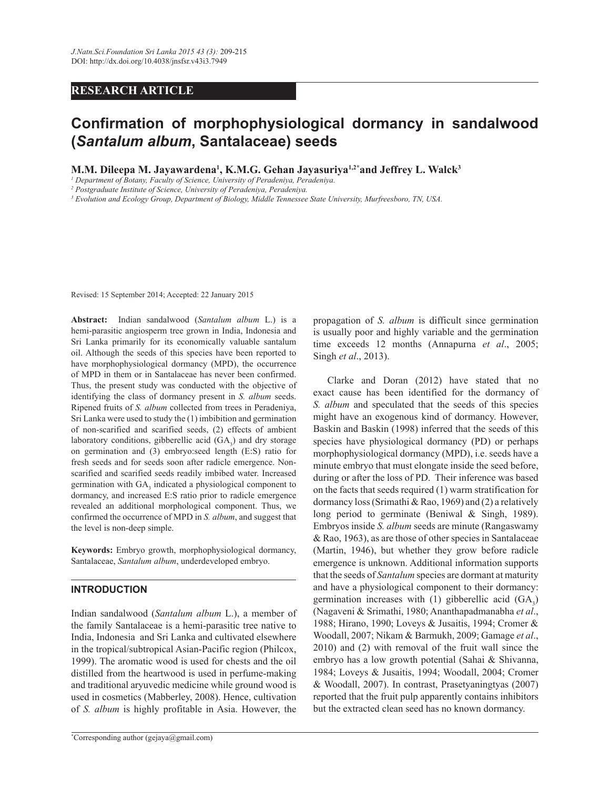# **RESEARCH ARTICLE**

# **Confirmation of morphophysiological dormancy in sandalwood (***Santalum album***, Santalaceae) seeds**

**M.M. Dileepa M. Jayawardena<sup>1</sup> , K.M.G. Gehan Jayasuriya1,2\*and Jeffrey L. Walck<sup>3</sup>**

*1 Department of Botany, Faculty of Science, University of Peradeniya, Peradeniya.*

*2 Postgraduate Institute of Science, University of Peradeniya, Peradeniya.*

*3 Evolution and Ecology Group, Department of Biology, Middle Tennessee State University, Murfreesboro, TN, USA.*

Revised: 15 September 2014; Accepted: 22 January 2015

**Abstract:** Indian sandalwood (*Santalum album* L.) is a hemi-parasitic angiosperm tree grown in India, Indonesia and Sri Lanka primarily for its economically valuable santalum oil. Although the seeds of this species have been reported to have morphophysiological dormancy (MPD), the occurrence of MPD in them or in Santalaceae has never been confirmed. Thus, the present study was conducted with the objective of identifying the class of dormancy present in *S. album* seeds. Ripened fruits of *S. album* collected from trees in Peradeniya, Sri Lanka were used to study the (1) imbibition and germination of non-scarified and scarified seeds, (2) effects of ambient laboratory conditions, gibberellic acid  $(GA_3)$  and dry storage on germination and (3) embryo:seed length (E:S) ratio for fresh seeds and for seeds soon after radicle emergence. Nonscarified and scarified seeds readily imbibed water. Increased germination with GA<sub>3</sub> indicated a physiological component to dormancy, and increased E:S ratio prior to radicle emergence revealed an additional morphological component. Thus, we confirmed the occurrence of MPD in *S. album*, and suggest that the level is non-deep simple.

**Keywords:** Embryo growth, morphophysiological dormancy, Santalaceae, *Santalum album*, underdeveloped embryo.

# **INTRODUCTION**

Indian sandalwood (*Santalum album* L.), a member of the family Santalaceae is a hemi-parasitic tree native to India, Indonesia and Sri Lanka and cultivated elsewhere in the tropical/subtropical Asian-Pacific region (Philcox, 1999). The aromatic wood is used for chests and the oil distilled from the heartwood is used in perfume-making and traditional aryuvedic medicine while ground wood is used in cosmetics (Mabberley, 2008). Hence, cultivation of *S. album* is highly profitable in Asia. However, the

propagation of *S. album* is difficult since germination is usually poor and highly variable and the germination time exceeds 12 months (Annapurna *et al*., 2005; Singh *et al*., 2013).

 Clarke and Doran (2012) have stated that no exact cause has been identified for the dormancy of *S. album* and speculated that the seeds of this species might have an exogenous kind of dormancy. However, Baskin and Baskin (1998) inferred that the seeds of this species have physiological dormancy (PD) or perhaps morphophysiological dormancy (MPD), i.e. seeds have a minute embryo that must elongate inside the seed before, during or after the loss of PD. Their inference was based on the facts that seeds required (1) warm stratification for dormancy loss (Srimathi & Rao, 1969) and (2) a relatively long period to germinate (Beniwal & Singh, 1989). Embryos inside *S. album* seeds are minute (Rangaswamy & Rao, 1963), as are those of other species in Santalaceae (Martin, 1946), but whether they grow before radicle emergence is unknown. Additional information supports that the seeds of *Santalum* species are dormant at maturity and have a physiological component to their dormancy: germination increases with (1) gibberellic acid  $(GA_3)$ (Nagaveni & Srimathi, 1980; Ananthapadmanabha *et al*., 1988; Hirano, 1990; Loveys & Jusaitis, 1994; Cromer & Woodall, 2007; Nikam & Barmukh, 2009; Gamage *et al*., 2010) and (2) with removal of the fruit wall since the embryo has a low growth potential (Sahai & Shivanna, 1984; Loveys & Jusaitis, 1994; Woodall, 2004; Cromer & Woodall, 2007). In contrast, Prasetyaningtyas (2007) reported that the fruit pulp apparently contains inhibitors but the extracted clean seed has no known dormancy.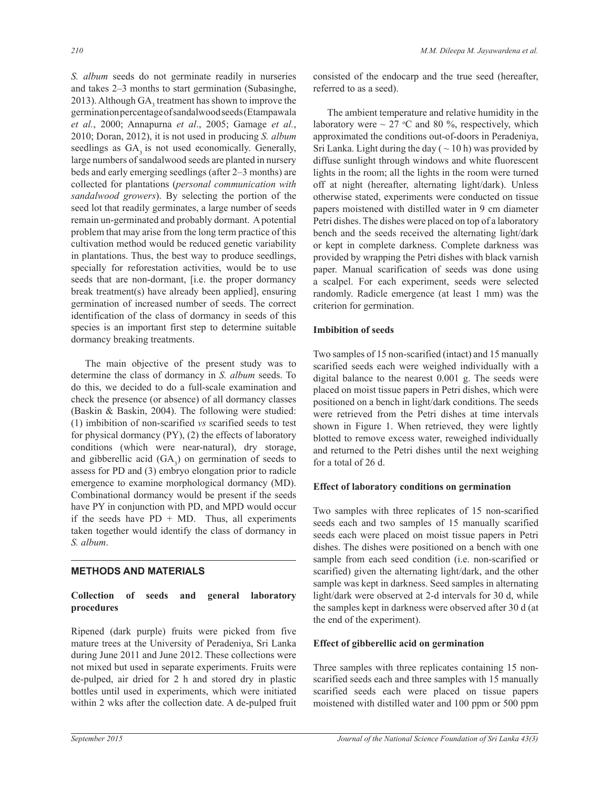*S. album* seeds do not germinate readily in nurseries and takes 2–3 months to start germination (Subasinghe, 2013). Although  $GA_3$  treatment has shown to improve the germination percentage of sandalwood seeds (Etampawala *et al.*, 2000; Annapurna *et al*., 2005; Gamage *et al.*, 2010; Doran, 2012), it is not used in producing *S. album* seedlings as  $GA<sub>3</sub>$  is not used economically. Generally, large numbers of sandalwood seeds are planted in nursery beds and early emerging seedlings (after 2–3 months) are collected for plantations (*personal communication with sandalwood growers*). By selecting the portion of the seed lot that readily germinates, a large number of seeds remain un-germinated and probably dormant. A potential problem that may arise from the long term practice of this cultivation method would be reduced genetic variability in plantations. Thus, the best way to produce seedlings, specially for reforestation activities, would be to use seeds that are non-dormant, [i.e. the proper dormancy break treatment(s) have already been applied], ensuring germination of increased number of seeds. The correct identification of the class of dormancy in seeds of this species is an important first step to determine suitable dormancy breaking treatments.

 The main objective of the present study was to determine the class of dormancy in *S. album* seeds. To do this, we decided to do a full-scale examination and check the presence (or absence) of all dormancy classes (Baskin & Baskin, 2004). The following were studied: (1) imbibition of non-scarified *vs* scarified seeds to test for physical dormancy (PY), (2) the effects of laboratory conditions (which were near-natural), dry storage, and gibberellic acid  $(GA_3)$  on germination of seeds to assess for PD and (3) embryo elongation prior to radicle emergence to examine morphological dormancy (MD). Combinational dormancy would be present if the seeds have PY in conjunction with PD, and MPD would occur if the seeds have  $PD + MD$ . Thus, all experiments taken together would identify the class of dormancy in *S. album*.

# **METHODS AND MATERIALS**

# **Collection of seeds and general laboratory procedures**

Ripened (dark purple) fruits were picked from five mature trees at the University of Peradeniya, Sri Lanka during June 2011 and June 2012. These collections were not mixed but used in separate experiments. Fruits were de-pulped, air dried for 2 h and stored dry in plastic bottles until used in experiments, which were initiated within 2 wks after the collection date. A de-pulped fruit

consisted of the endocarp and the true seed (hereafter, referred to as a seed).

 The ambient temperature and relative humidity in the laboratory were  $\sim 27$  °C and 80 %, respectively, which approximated the conditions out-of-doors in Peradeniya, Sri Lanka. Light during the day ( $\sim$  10 h) was provided by diffuse sunlight through windows and white fluorescent lights in the room; all the lights in the room were turned off at night (hereafter, alternating light/dark). Unless otherwise stated, experiments were conducted on tissue papers moistened with distilled water in 9 cm diameter Petri dishes. The dishes were placed on top of a laboratory bench and the seeds received the alternating light/dark or kept in complete darkness. Complete darkness was provided by wrapping the Petri dishes with black varnish paper. Manual scarification of seeds was done using a scalpel. For each experiment, seeds were selected randomly. Radicle emergence (at least 1 mm) was the criterion for germination.

## **Imbibition of seeds**

Two samples of 15 non-scarified (intact) and 15 manually scarified seeds each were weighed individually with a digital balance to the nearest 0.001 g. The seeds were placed on moist tissue papers in Petri dishes, which were positioned on a bench in light/dark conditions. The seeds were retrieved from the Petri dishes at time intervals shown in Figure 1. When retrieved, they were lightly blotted to remove excess water, reweighed individually and returned to the Petri dishes until the next weighing for a total of 26 d.

# **Effect of laboratory conditions on germination**

Two samples with three replicates of 15 non-scarified seeds each and two samples of 15 manually scarified seeds each were placed on moist tissue papers in Petri dishes. The dishes were positioned on a bench with one sample from each seed condition (i.e. non-scarified or scarified) given the alternating light/dark, and the other sample was kept in darkness. Seed samples in alternating light/dark were observed at 2-d intervals for 30 d, while the samples kept in darkness were observed after 30 d (at the end of the experiment).

# **Effect of gibberellic acid on germination**

Three samples with three replicates containing 15 nonscarified seeds each and three samples with 15 manually scarified seeds each were placed on tissue papers moistened with distilled water and 100 ppm or 500 ppm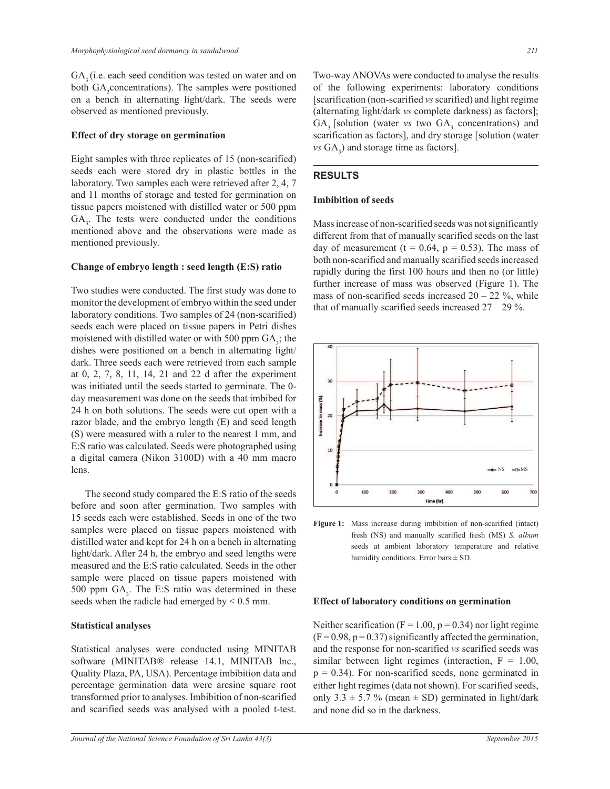GA<sub>2</sub> (i.e. each seed condition was tested on water and on both GA<sub>3</sub> concentrations). The samples were positioned on a bench in alternating light/dark. The seeds were observed as mentioned previously.

#### **Effect of dry storage on germination**

Eight samples with three replicates of 15 (non-scarified) seeds each were stored dry in plastic bottles in the laboratory. Two samples each were retrieved after 2, 4, 7 and 11 months of storage and tested for germination on tissue papers moistened with distilled water or 500 ppm  $GA<sub>3</sub>$ . The tests were conducted under the conditions mentioned above and the observations were made as mentioned previously.

#### **Change of embryo length : seed length (E:S) ratio**

Two studies were conducted. The first study was done to monitor the development of embryo within the seed under laboratory conditions. Two samples of 24 (non-scarified) seeds each were placed on tissue papers in Petri dishes moistened with distilled water or with 500 ppm  $GA_3$ ; the dishes were positioned on a bench in alternating light/ dark. Three seeds each were retrieved from each sample at 0, 2, 7, 8, 11, 14, 21 and 22 d after the experiment was initiated until the seeds started to germinate. The 0 day measurement was done on the seeds that imbibed for 24 h on both solutions. The seeds were cut open with a razor blade, and the embryo length (E) and seed length (S) were measured with a ruler to the nearest 1 mm, and E:S ratio was calculated. Seeds were photographed using a digital camera (Nikon 3100D) with a 40 mm macro lens.

 The second study compared the E:S ratio of the seeds before and soon after germination. Two samples with 15 seeds each were established. Seeds in one of the two samples were placed on tissue papers moistened with distilled water and kept for 24 h on a bench in alternating light/dark. After 24 h, the embryo and seed lengths were measured and the E:S ratio calculated. Seeds in the other sample were placed on tissue papers moistened with 500 ppm  $GA_3$ . The E:S ratio was determined in these seeds when the radicle had emerged by  $< 0.5$  mm.

#### **Statistical analyses**

Statistical analyses were conducted using MINITAB software (MINITAB® release 14.1, MINITAB Inc., Quality Plaza, PA, USA). Percentage imbibition data and percentage germination data were arcsine square root transformed prior to analyses. Imbibition of non-scarified and scarified seeds was analysed with a pooled t-test. Two-way ANOVAs were conducted to analyse the results of the following experiments: laboratory conditions [scarification (non-scarified *vs* scarified) and light regime (alternating light/dark *vs* complete darkness) as factors];  $GA_3$  [solution (water *vs* two  $GA_3$  concentrations) and scarification as factors], and dry storage [solution (water  $\mathcal{W}$ s GA<sub>3</sub>) and storage time as factors].

## **RESULTS**

#### **Imbibition of seeds**

Mass increase of non-scarified seeds was not significantly different from that of manually scarified seeds on the last day of measurement ( $t = 0.64$ ,  $p = 0.53$ ). The mass of both non-scarified and manually scarified seeds increased rapidly during the first 100 hours and then no (or little) further increase of mass was observed (Figure 1). The mass of non-scarified seeds increased  $20 - 22$  %, while that of manually scarified seeds increased  $27 - 29$ %.



**Figure 1:** Mass increase during imbibition of non-scarified (intact) fresh (NS) and manually scarified fresh (MS) *S. album* seeds at ambient laboratory temperature and relative humidity conditions. Error bars  $\pm$  SD.

#### **Effect of laboratory conditions on germination**

Neither scarification ( $F = 1.00$ ,  $p = 0.34$ ) nor light regime  $(F = 0.98, p = 0.37)$  significantly affected the germination, and the response for non-scarified *vs* scarified seeds was similar between light regimes (interaction,  $F = 1.00$ ,  $p = 0.34$ ). For non-scarified seeds, none germinated in either light regimes (data not shown). For scarified seeds, only  $3.3 \pm 5.7$  % (mean  $\pm$  SD) germinated in light/dark and none did so in the darkness.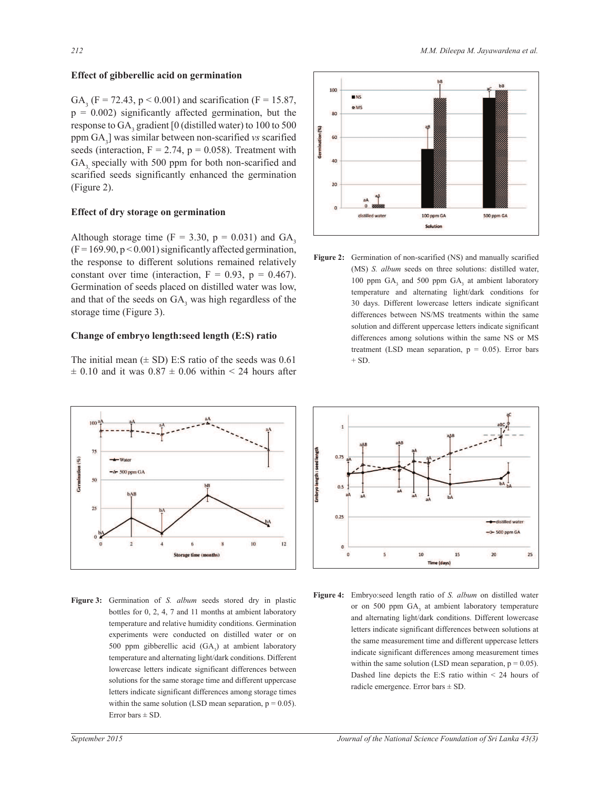## **Effect of gibberellic acid on germination**

GA<sub>3</sub> (F = 72.43, p < 0.001) and scarification (F = 15.87,  $p = 0.002$ ) significantly affected germination, but the response to  $GA_3$  gradient [0 (distilled water) to 100 to 500 ppm GA<sub>3</sub>] was similar between non-scarified *vs* scarified seeds (interaction,  $F = 2.74$ ,  $p = 0.058$ ). Treatment with GA<sub>2</sub> specially with 500 ppm for both non-scarified and scarified seeds significantly enhanced the germination (Figure 2).

## **Effect of dry storage on germination**

Although storage time  $(F = 3.30, p = 0.031)$  and  $GA<sub>3</sub>$  $(F = 169.90, p < 0.001)$  significantly affected germination, the response to different solutions remained relatively constant over time (interaction,  $F = 0.93$ ,  $p = 0.467$ ). Germination of seeds placed on distilled water was low, and that of the seeds on  $GA_3$  was high regardless of the storage time (Figure 3).

## **Change of embryo length:seed length (E:S) ratio**

The initial mean  $(\pm SD)$  E:S ratio of the seeds was 0.61  $\pm$  0.10 and it was 0.87  $\pm$  0.06 within < 24 hours after



**Figure 3:** Germination of *S. album* seeds stored dry in plastic bottles for 0, 2, 4, 7 and 11 months at ambient laboratory temperature and relative humidity conditions. Germination experiments were conducted on distilled water or on 500 ppm gibberellic acid  $(GA_3)$  at ambient laboratory temperature and alternating light/dark conditions. Different lowercase letters indicate significant differences between solutions for the same storage time and different uppercase letters indicate significant differences among storage times within the same solution (LSD mean separation,  $p = 0.05$ ). Error bars  $\pm$  SD.



**Figure 2:** Germination of non-scarified (NS) and manually scarified (MS) *S. album* seeds on three solutions: distilled water, 100 ppm  $GA_3$  and 500 ppm  $GA_3$  at ambient laboratory temperature and alternating light/dark conditions for 30 days. Different lowercase letters indicate significant differences between NS/MS treatments within the same solution and different uppercase letters indicate significant differences among solutions within the same NS or MS treatment (LSD mean separation,  $p = 0.05$ ). Error bars  $+$  SD.



**Figure 4:** Embryo:seed length ratio of *S. album* on distilled water or on 500 ppm  $GA_3$  at ambient laboratory temperature and alternating light/dark conditions. Different lowercase letters indicate significant differences between solutions at the same measurement time and different uppercase letters indicate significant differences among measurement times within the same solution (LSD mean separation,  $p = 0.05$ ). Dashed line depicts the E:S ratio within < 24 hours of radicle emergence. Error bars  $\pm$  SD.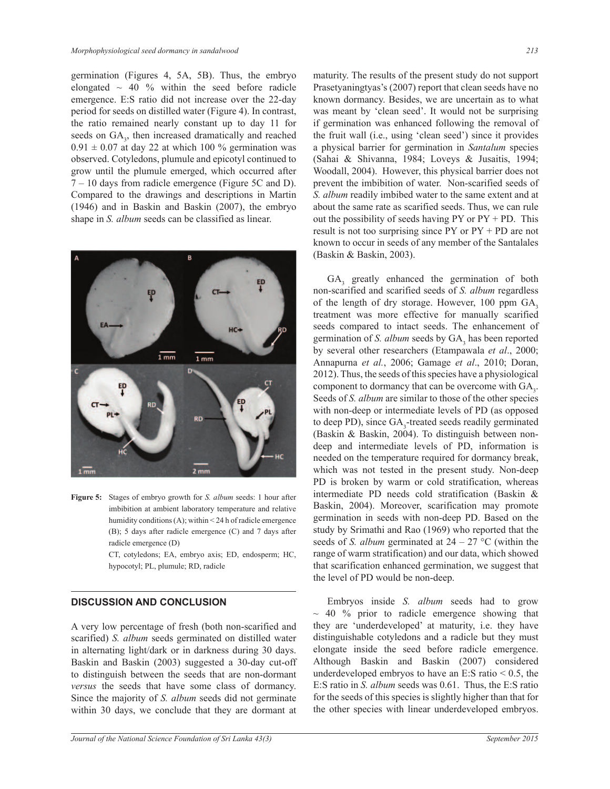germination (Figures 4, 5A, 5B). Thus, the embryo elongated  $\sim$  40 % within the seed before radicle emergence. E:S ratio did not increase over the 22-day period for seeds on distilled water (Figure 4). In contrast, the ratio remained nearly constant up to day 11 for seeds on GA<sub>3</sub>, then increased dramatically and reached  $0.91 \pm 0.07$  at day 22 at which 100 % germination was observed. Cotyledons, plumule and epicotyl continued to grow until the plumule emerged, which occurred after  $7 - 10$  days from radicle emergence (Figure 5C and D). Compared to the drawings and descriptions in Martin (1946) and in Baskin and Baskin (2007), the embryo shape in *S. album* seeds can be classified as linear.



**Figure 5:** Stages of embryo growth for *S. album* seeds: 1 hour after imbibition at ambient laboratory temperature and relative humidity conditions (A); within < 24 h of radicle emergence (B); 5 days after radicle emergence (C) and 7 days after radicle emergence (D)

> CT, cotyledons; EA, embryo axis; ED, endosperm; HC, hypocotyl; PL, plumule; RD, radicle

## **DISCUSSION AND CONCLUSION**

A very low percentage of fresh (both non-scarified and scarified) *S. album* seeds germinated on distilled water in alternating light/dark or in darkness during 30 days. Baskin and Baskin (2003) suggested a 30-day cut-off to distinguish between the seeds that are non-dormant *versus* the seeds that have some class of dormancy. Since the majority of *S. album* seeds did not germinate within 30 days, we conclude that they are dormant at

maturity. The results of the present study do not support Prasetyaningtyas's (2007) report that clean seeds have no known dormancy. Besides, we are uncertain as to what was meant by 'clean seed'. It would not be surprising if germination was enhanced following the removal of the fruit wall (i.e., using 'clean seed') since it provides a physical barrier for germination in *Santalum* species (Sahai & Shivanna, 1984; Loveys & Jusaitis, 1994; Woodall, 2004). However, this physical barrier does not prevent the imbibition of water. Non-scarified seeds of *S. album* readily imbibed water to the same extent and at about the same rate as scarified seeds. Thus, we can rule out the possibility of seeds having  $PY$  or  $PY + PD$ . This result is not too surprising since PY or PY + PD are not known to occur in seeds of any member of the Santalales (Baskin & Baskin, 2003).

 $GA<sub>3</sub>$  greatly enhanced the germination of both non-scarified and scarified seeds of *S. album* regardless of the length of dry storage. However,  $100$  ppm  $GA$ , treatment was more effective for manually scarified seeds compared to intact seeds. The enhancement of germination of *S. album* seeds by  $GA_3$  has been reported by several other researchers (Etampawala *et al*., 2000; Annapurna *et al.*, 2006; Gamage *et al*., 2010; Doran, 2012). Thus, the seeds of this species have a physiological component to dormancy that can be overcome with  $GA<sub>3</sub>$ . Seeds of *S. album* are similar to those of the other species with non-deep or intermediate levels of PD (as opposed to deep PD), since GA<sub>3</sub>-treated seeds readily germinated (Baskin & Baskin, 2004). To distinguish between nondeep and intermediate levels of PD, information is needed on the temperature required for dormancy break, which was not tested in the present study. Non-deep PD is broken by warm or cold stratification, whereas intermediate PD needs cold stratification (Baskin & Baskin, 2004). Moreover, scarification may promote germination in seeds with non-deep PD. Based on the study by Srimathi and Rao (1969) who reported that the seeds of *S. album* germinated at  $24 - 27$  °C (within the range of warm stratification) and our data, which showed that scarification enhanced germination, we suggest that the level of PD would be non-deep.

 Embryos inside *S. album* seeds had to grow  $\sim$  40 % prior to radicle emergence showing that they are 'underdeveloped' at maturity, i.e. they have distinguishable cotyledons and a radicle but they must elongate inside the seed before radicle emergence. Although Baskin and Baskin (2007) considered underdeveloped embryos to have an E:S ratio  $\leq 0.5$ , the E:S ratio in *S. album* seeds was 0.61. Thus, the E:S ratio for the seeds of this species is slightly higher than that for the other species with linear underdeveloped embryos.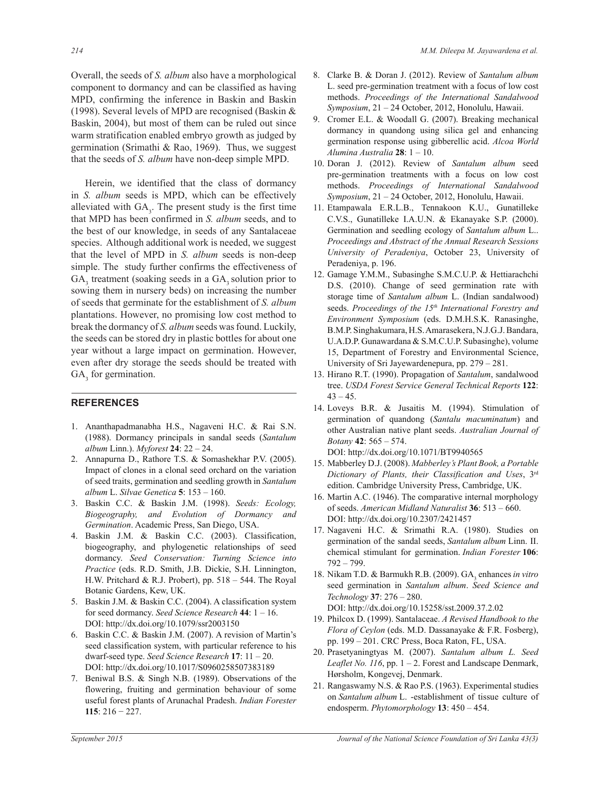Overall, the seeds of *S. album* also have a morphological component to dormancy and can be classified as having MPD, confirming the inference in Baskin and Baskin (1998). Several levels of MPD are recognised (Baskin & Baskin, 2004), but most of them can be ruled out since warm stratification enabled embryo growth as judged by germination (Srimathi & Rao, 1969). Thus, we suggest that the seeds of *S. album* have non-deep simple MPD.

 Herein, we identified that the class of dormancy in *S. album* seeds is MPD, which can be effectively alleviated with  $GA<sub>3</sub>$ . The present study is the first time that MPD has been confirmed in *S. album* seeds, and to the best of our knowledge, in seeds of any Santalaceae species. Although additional work is needed, we suggest that the level of MPD in *S. album* seeds is non-deep simple. The study further confirms the effectiveness of  $GA_3$  treatment (soaking seeds in a  $GA_3$  solution prior to sowing them in nursery beds) on increasing the number of seeds that germinate for the establishment of *S. album* plantations. However, no promising low cost method to break the dormancy of *S. album* seeds was found. Luckily, the seeds can be stored dry in plastic bottles for about one year without a large impact on germination. However, even after dry storage the seeds should be treated with  $GA<sub>3</sub>$  for germination.

### **REFERENCES**

- 1. Ananthapadmanabha H.S., Nagaveni H.C. & Rai S.N. (1988). Dormancy principals in sandal seeds (*Santalum album* Linn.). *Myforest* **24**: 22 ‒ 24.
- 2. Annapurna D., Rathore T.S. & Somashekhar P.V. (2005). Impact of clones in a clonal seed orchard on the variation of seed traits, germination and seedling growth in *Santalum album* L. *Silvae Genetica* **5**: 153 ‒ 160.
- 3. Baskin C.C. & Baskin J.M. (1998). *Seeds: Ecology, Biogeography, and Evolution of Dormancy and Germination*. Academic Press, San Diego, USA.
- 4. Baskin J.M. & Baskin C.C. (2003). Classification, biogeography, and phylogenetic relationships of seed dormancy. *Seed Conservation: Turning Science into Practice* (eds. R.D. Smith, J.B. Dickie, S.H. Linnington, H.W. Pritchard & R.J. Probert), pp.  $518 - 544$ . The Royal Botanic Gardens, Kew, UK.
- 5. Baskin J.M. & Baskin C.C. (2004). A classification system for seed dormancy. *Seed Science Research* **44**: 1 ‒ 16. DOI: http://dx.doi.org/10.1079/ssr2003150
- 6. Baskin C.C. & Baskin J.M. (2007). A revision of Martin's seed classification system, with particular reference to his dwarf-seed type. *Seed Science Research* **17**: 11 ‒ 20. DOI: http://dx.doi.org/10.1017/S0960258507383189
- 7. Beniwal B.S. & Singh N.B. (1989). Observations of the flowering, fruiting and germination behaviour of some useful forest plants of Arunachal Pradesh. *Indian Forester*  **115**: 216 − 227.
- 8. Clarke B. & Doran J. (2012). Review of *Santalum album* L. seed pre-germination treatment with a focus of low cost methods. *Proceedings of the International Sandalwood Symposium*, 21 ‒ 24 October, 2012, Honolulu, Hawaii.
- 9. Cromer E.L. & Woodall G. (2007). Breaking mechanical dormancy in quandong using silica gel and enhancing germination response using gibberellic acid. *Alcoa World Alumina Australia* **28**: 1 ‒ 10.
- 10. Doran J. (2012). Review of *Santalum album* seed pre-germination treatments with a focus on low cost methods. *Proceedings of International Sandalwood Symposium*, 21 ‒ 24 October, 2012, Honolulu, Hawaii.
- 11. Etampawala E.R.L.B., Tennakoon K.U., Gunatilleke C.V.S., Gunatilleke I.A.U.N. & Ekanayake S.P. (2000). Germination and seedling ecology of *Santalum album* L.. *Proceedings and Abstract of the Annual Research Sessions University of Peradeniya*, October 23, University of Peradeniya, p. 196.
- 12. Gamage Y.M.M., Subasinghe S.M.C.U.P. & Hettiarachchi D.S. (2010). Change of seed germination rate with storage time of *Santalum album* L. (Indian sandalwood) seeds. *Proceedings of the 15th International Forestry and Environment Symposium* (eds. D.M.H.S.K. Ranasinghe, B.M.P. Singhakumara, H.S. Amarasekera, N.J.G.J. Bandara, U.A.D.P. Gunawardana & S.M.C.U.P. Subasinghe), volume 15, Department of Forestry and Environmental Science, University of Sri Jayewardenepura, pp.  $279 - 281$ .
- 13. Hirano R.T. (1990). Propagation of *Santalum*, sandalwood tree. *USDA Forest Service General Technical Reports* **122**:  $43 - 45.$
- 14. Loveys B.R. & Jusaitis M. (1994). Stimulation of germination of quandong (*Santalu macuminatum*) and other Australian native plant seeds. *Australian Journal of Botany* **42**: 565 ‒ 574. DOI: http://dx.doi.org/10.1071/BT9940565
- 15. Mabberley D.J. (2008). *Mabberley's Plant Book, a Portable Dictionary of Plants, their Classification and Uses*, 3rd
- edition. Cambridge University Press, Cambridge, UK. 16. Martin A.C. (1946). The comparative internal morphology of seeds. *American Midland Naturalist* **36**: 513 ‒ 660.
- DOI: http://dx.doi.org/10.2307/2421457 17. Nagaveni H.C. & Srimathi R.A. (1980). Studies on germination of the sandal seeds, *Santalum album* Linn. II. chemical stimulant for germination. *Indian Forester* **106**:  $792 - 799.$
- 18. Nikam T.D. & Barmukh R.B. (2009). GA<sub>3</sub> enhances *in vitro* seed germination in *Santalum album*. *Seed Science and Technology* **37**: 276 ‒ 280. DOI: http://dx.doi.org/10.15258/sst.2009.37.2.02
- 19. Philcox D. (1999). Santalaceae. *A Revised Handbook to the Flora of Ceylon* (eds. M.D. Dassanayake & F.R. Fosberg), pp. 199 - 201. CRC Press, Boca Raton, FL, USA.
- 20. Prasetyaningtyas M. (2007). *Santalum album L. Seed*  Leaflet No. 116, pp. 1 – 2. Forest and Landscape Denmark, Hørsholm, Kongevej, Denmark.
- 21. Rangaswamy N.S. & Rao P.S. (1963). Experimental studies on *Santalum album* L. -establishment of tissue culture of endosperm. *Phytomorphology* **13**: 450 ‒ 454.